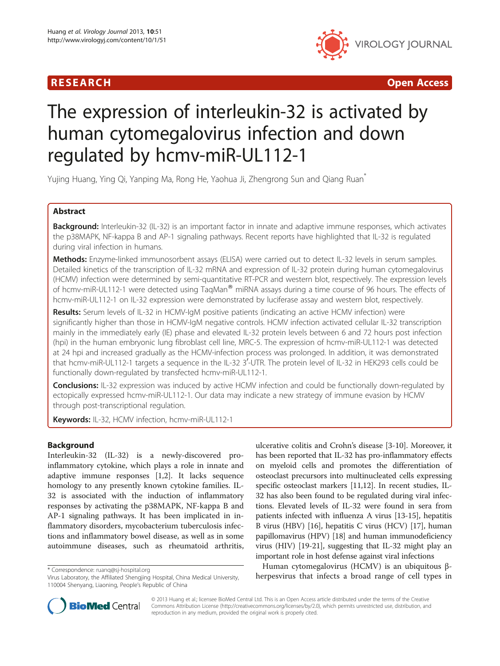

R E S EAR CH Open Access

# The expression of interleukin-32 is activated by human cytomegalovirus infection and down regulated by hcmv-miR-UL112-1

Yujing Huang, Ying Qi, Yanping Ma, Rong He, Yaohua Ji, Zhengrong Sun and Qiang Ruan\*

### Abstract

Background: Interleukin-32 (IL-32) is an important factor in innate and adaptive immune responses, which activates the p38MAPK, NF-kappa B and AP-1 signaling pathways. Recent reports have highlighted that IL-32 is regulated during viral infection in humans.

Methods: Enzyme-linked immunosorbent assays (ELISA) were carried out to detect IL-32 levels in serum samples. Detailed kinetics of the transcription of IL-32 mRNA and expression of IL-32 protein during human cytomegalovirus (HCMV) infection were determined by semi-quantitative RT-PCR and western blot, respectively. The expression levels of hcmv-miR-UL112-1 were detected using TaqMan® miRNA assays during a time course of 96 hours. The effects of hcmv-miR-UL112-1 on IL-32 expression were demonstrated by luciferase assay and western blot, respectively.

Results: Serum levels of IL-32 in HCMV-IgM positive patients (indicating an active HCMV infection) were significantly higher than those in HCMV-IgM negative controls. HCMV infection activated cellular IL-32 transcription mainly in the immediately early (IE) phase and elevated IL-32 protein levels between 6 and 72 hours post infection (hpi) in the human embryonic lung fibroblast cell line, MRC-5. The expression of hcmv-miR-UL112-1 was detected at 24 hpi and increased gradually as the HCMV-infection process was prolonged. In addition, it was demonstrated that hcmv-miR-UL112-1 targets a sequence in the IL-32 3'-UTR. The protein level of IL-32 in HEK293 cells could be functionally down-regulated by transfected hcmv-miR-UL112-1.

**Conclusions:** IL-32 expression was induced by active HCMV infection and could be functionally down-regulated by ectopically expressed hcmv-miR-UL112-1. Our data may indicate a new strategy of immune evasion by HCMV through post-transcriptional regulation.

Keywords: IL-32, HCMV infection, hcmv-miR-UL112-1

### Background

Interleukin-32 (IL-32) is a newly-discovered proinflammatory cytokine, which plays a role in innate and adaptive immune responses [\[1,2](#page-6-0)]. It lacks sequence homology to any presently known cytokine families. IL-32 is associated with the induction of inflammatory responses by activating the p38MAPK, NF-kappa B and AP-1 signaling pathways. It has been implicated in inflammatory disorders, mycobacterium tuberculosis infections and inflammatory bowel disease, as well as in some autoimmune diseases, such as rheumatoid arthritis,

ulcerative colitis and Crohn's disease [[3-10\]](#page-6-0). Moreover, it has been reported that IL-32 has pro-inflammatory effects on myeloid cells and promotes the differentiation of osteoclast precursors into multinucleated cells expressing specific osteoclast markers [[11,12\]](#page-6-0). In recent studies, IL-32 has also been found to be regulated during viral infections. Elevated levels of IL-32 were found in sera from patients infected with influenza A virus [\[13-15\]](#page-6-0), hepatitis B virus (HBV) [[16](#page-6-0)], hepatitis C virus (HCV) [\[17\]](#page-6-0), human papillomavirus (HPV) [\[18\]](#page-6-0) and human immunodeficiency virus (HIV) [[19-21\]](#page-6-0), suggesting that IL-32 might play an important role in host defense against viral infections

Human cytomegalovirus (HCMV) is an ubiquitous β\* Correspondence: [ruanq@sj-hospital.org](mailto:ruanq@sj-hospital.org)<br>Virus Laboratory, the Affiliated Shengjing Hospital, China Medical University, **herpesvirus that infects a broad range of cell types in** 



© 2013 Huang et al.; licensee BioMed Central Ltd. This is an Open Access article distributed under the terms of the Creative Commons Attribution License [\(http://creativecommons.org/licenses/by/2.0\)](http://creativecommons.org/licenses/by/2.0), which permits unrestricted use, distribution, and reproduction in any medium, provided the original work is properly cited.

<sup>110004</sup> Shenyang, Liaoning, People's Republic of China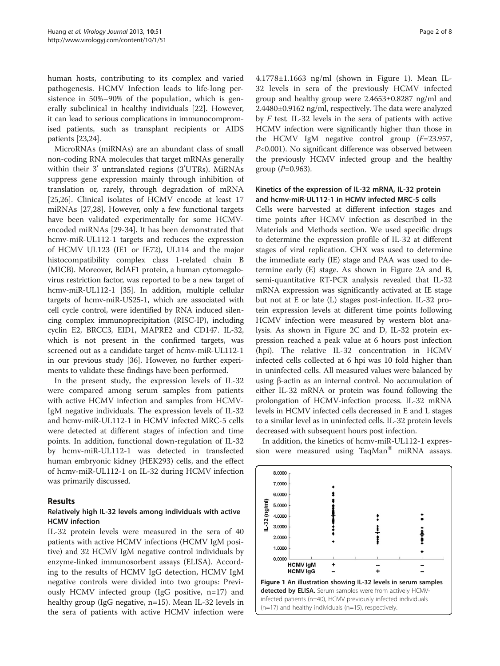human hosts, contributing to its complex and varied pathogenesis. HCMV Infection leads to life-long persistence in 50%–90% of the population, which is generally subclinical in healthy individuals [[22\]](#page-6-0). However, it can lead to serious complications in immunocompromised patients, such as transplant recipients or AIDS patients [[23,24](#page-6-0)].

MicroRNAs (miRNAs) are an abundant class of small non-coding RNA molecules that target mRNAs generally within their  $3'$  untranslated regions ( $3' \rm UTRS$ ). MiRNAs suppress gene expression mainly through inhibition of translation or, rarely, through degradation of mRNA [[25,26\]](#page-6-0). Clinical isolates of HCMV encode at least 17 miRNAs [[27](#page-6-0),[28](#page-6-0)]. However, only a few functional targets have been validated experimentally for some HCMVencoded miRNAs [\[29](#page-6-0)-[34](#page-7-0)]. It has been demonstrated that hcmv-miR-UL112-1 targets and reduces the expression of HCMV UL123 (IE1 or IE72), UL114 and the major histocompatibility complex class 1-related chain B (MICB). Moreover, BclAF1 protein, a human cytomegalovirus restriction factor, was reported to be a new target of hcmv-miR-UL112-1 [\[35\]](#page-7-0). In addition, multiple cellular targets of hcmv-miR-US25-1, which are associated with cell cycle control, were identified by RNA induced silencing complex immunoprecipitation (RISC-IP), including cyclin E2, BRCC3, EID1, MAPRE2 and CD147. IL-32, which is not present in the confirmed targets, was screened out as a candidate target of hcmv-miR-UL112-1 in our previous study [\[36](#page-7-0)]. However, no further experiments to validate these findings have been performed.

In the present study, the expression levels of IL-32 were compared among serum samples from patients with active HCMV infection and samples from HCMV-IgM negative individuals. The expression levels of IL-32 and hcmv-miR-UL112-1 in HCMV infected MRC-5 cells were detected at different stages of infection and time points. In addition, functional down-regulation of IL-32 by hcmv-miR-UL112-1 was detected in transfected human embryonic kidney (HEK293) cells, and the effect of hcmv-miR-UL112-1 on IL-32 during HCMV infection was primarily discussed.

#### Results

### Relatively high IL-32 levels among individuals with active HCMV infection

IL-32 protein levels were measured in the sera of 40 patients with active HCMV infections (HCMV IgM positive) and 32 HCMV IgM negative control individuals by enzyme-linked immunosorbent assays (ELISA). According to the results of HCMV IgG detection, HCMV IgM negative controls were divided into two groups: Previously HCMV infected group (IgG positive, n=17) and healthy group (IgG negative, n=15). Mean IL-32 levels in the sera of patients with active HCMV infection were

4.1778±1.1663 ng/ml (shown in Figure 1). Mean IL-32 levels in sera of the previously HCMV infected group and healthy group were 2.4653±0.8287 ng/ml and 2.4480±0.9162 ng/ml, respectively. The data were analyzed by  $F$  test. IL-32 levels in the sera of patients with active HCMV infection were significantly higher than those in the HCMV IgM negative control group  $(F=23.957,$ P<0.001). No significant difference was observed between the previously HCMV infected group and the healthy group  $(P=0.963)$ .

#### Kinetics of the expression of IL-32 mRNA, IL-32 protein and hcmv-miR-UL112-1 in HCMV infected MRC-5 cells

Cells were harvested at different infection stages and time points after HCMV infection as described in the Materials and Methods section. We used specific drugs to determine the expression profile of IL-32 at different stages of viral replication. CHX was used to determine the immediate early (IE) stage and PAA was used to determine early (E) stage. As shown in Figure [2](#page-2-0)A and B, semi-quantitative RT-PCR analysis revealed that IL-32 mRNA expression was significantly activated at IE stage but not at E or late (L) stages post-infection. IL-32 protein expression levels at different time points following HCMV infection were measured by western blot analysis. As shown in Figure [2C](#page-2-0) and D, IL-32 protein expression reached a peak value at 6 hours post infection (hpi). The relative IL-32 concentration in HCMV infected cells collected at 6 hpi was 10 fold higher than in uninfected cells. All measured values were balanced by using β-actin as an internal control. No accumulation of either IL-32 mRNA or protein was found following the prolongation of HCMV-infection process. IL-32 mRNA levels in HCMV infected cells decreased in E and L stages to a similar level as in uninfected cells. IL-32 protein levels decreased with subsequent hours post infection.

In addition, the kinetics of hcmv-miR-UL112-1 expression were measured using  $TaqMan^{\circledR}$  miRNA assays.

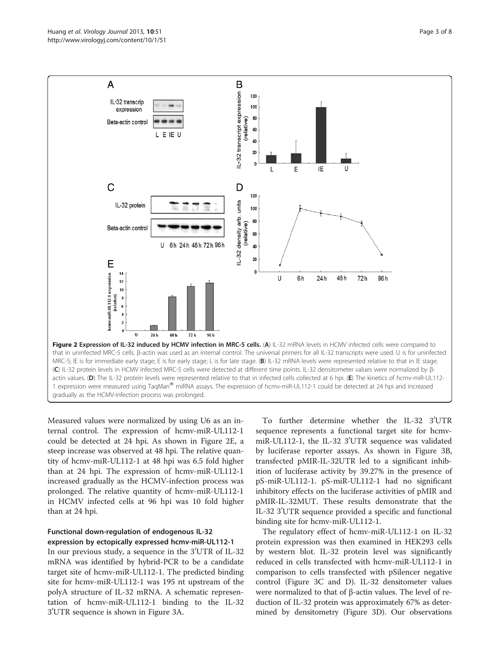<span id="page-2-0"></span>

Measured values were normalized by using U6 as an internal control. The expression of hcmv-miR-UL112-1 could be detected at 24 hpi. As shown in Figure 2E, a steep increase was observed at 48 hpi. The relative quantity of hcmv-miR-UL112-1 at 48 hpi was 6.5 fold higher than at 24 hpi. The expression of hcmv-miR-UL112-1 increased gradually as the HCMV-infection process was prolonged. The relative quantity of hcmv-miR-UL112-1 in HCMV infected cells at 96 hpi was 10 fold higher than at 24 hpi.

### Functional down-regulation of endogenous IL-32 expression by ectopically expressed hcmv-miR-UL112-1

In our previous study, a sequence in the  $3^{\prime} \mathrm{UTR}$  of IL-32 mRNA was identified by hybrid-PCR to be a candidate target site of hcmv-miR-UL112-1. The predicted binding site for hcmv-miR-UL112-1 was 195 nt upstream of the polyA structure of IL-32 mRNA. A schematic representation of hcmv-miR-UL112-1 binding to the IL-32 3′UTR sequence is shown in Figure [3](#page-3-0)A.

To further determine whether the IL-32 3'UTR sequence represents a functional target site for hcmvmiR-UL112-1, the IL-32 3'UTR sequence was validated by luciferase reporter assays. As shown in Figure [3B](#page-3-0), transfected pMIR-IL-32UTR led to a significant inhibition of luciferase activity by 39.27% in the presence of pS-miR-UL112-1. pS-miR-UL112-1 had no significant inhibitory effects on the luciferase activities of pMIR and pMIR-IL-32MUT. These results demonstrate that the IL-32 3'UTR sequence provided a specific and functional binding site for hcmv-miR-UL112-1.

The regulatory effect of hcmv-miR-UL112-1 on IL-32 protein expression was then examined in HEK293 cells by western blot. IL-32 protein level was significantly reduced in cells transfected with hcmv-miR-UL112-1 in comparison to cells transfected with pSilencer negative control (Figure [3C](#page-3-0) and D). IL-32 densitometer values were normalized to that of β-actin values. The level of reduction of IL-32 protein was approximately 67% as determined by densitometry (Figure [3](#page-3-0)D). Our observations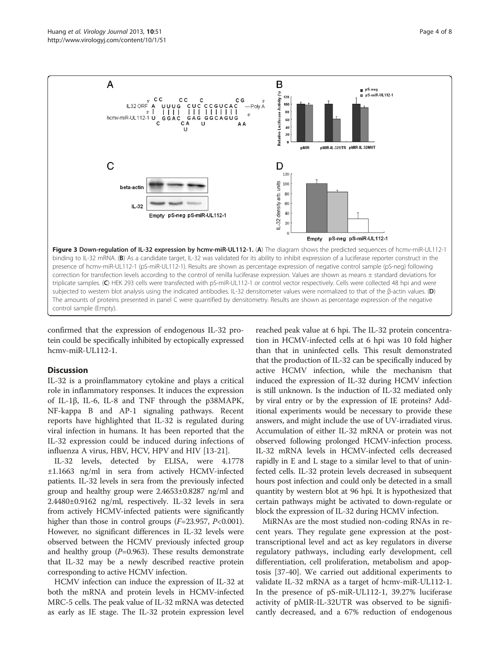<span id="page-3-0"></span>

confirmed that the expression of endogenous IL-32 protein could be specifically inhibited by ectopically expressed hcmv-miR-UL112-1.

#### **Discussion**

IL-32 is a proinflammatory cytokine and plays a critical role in inflammatory responses. It induces the expression of IL-1β, IL-6, IL-8 and TNF through the p38MAPK, NF-kappa B and AP-1 signaling pathways. Recent reports have highlighted that IL-32 is regulated during viral infection in humans. It has been reported that the IL-32 expression could be induced during infections of influenza A virus, HBV, HCV, HPV and HIV [\[13](#page-6-0)-[21](#page-6-0)].

IL-32 levels, detected by ELISA, were 4.1778 ±1.1663 ng/ml in sera from actively HCMV-infected patients. IL-32 levels in sera from the previously infected group and healthy group were 2.4653±0.8287 ng/ml and 2.4480±0.9162 ng/ml, respectively. IL-32 levels in sera from actively HCMV-infected patients were significantly higher than those in control groups  $(F=23.957, P<0.001)$ . However, no significant differences in IL-32 levels were observed between the HCMV previously infected group and healthy group  $(P=0.963)$ . These results demonstrate that IL-32 may be a newly described reactive protein corresponding to active HCMV infection.

HCMV infection can induce the expression of IL-32 at both the mRNA and protein levels in HCMV-infected MRC-5 cells. The peak value of IL-32 mRNA was detected as early as IE stage. The IL-32 protein expression level reached peak value at 6 hpi. The IL-32 protein concentration in HCMV-infected cells at 6 hpi was 10 fold higher than that in uninfected cells. This result demonstrated that the production of IL-32 can be specifically induced by active HCMV infection, while the mechanism that induced the expression of IL-32 during HCMV infection is still unknown. Is the induction of IL-32 mediated only by viral entry or by the expression of IE proteins? Additional experiments would be necessary to provide these answers, and might include the use of UV-irradiated virus. Accumulation of either IL-32 mRNA or protein was not observed following prolonged HCMV-infection process. IL-32 mRNA levels in HCMV-infected cells decreased rapidly in E and L stage to a similar level to that of uninfected cells. IL-32 protein levels decreased in subsequent hours post infection and could only be detected in a small quantity by western blot at 96 hpi. It is hypothesized that certain pathways might be activated to down-regulate or block the expression of IL-32 during HCMV infection.

MiRNAs are the most studied non-coding RNAs in recent years. They regulate gene expression at the posttranscriptional level and act as key regulators in diverse regulatory pathways, including early development, cell differentiation, cell proliferation, metabolism and apoptosis [\[37](#page-7-0)-[40\]](#page-7-0). We carried out additional experiments to validate IL-32 mRNA as a target of hcmv-miR-UL112-1. In the presence of pS-miR-UL112-1, 39.27% luciferase activity of pMIR-IL-32UTR was observed to be significantly decreased, and a 67% reduction of endogenous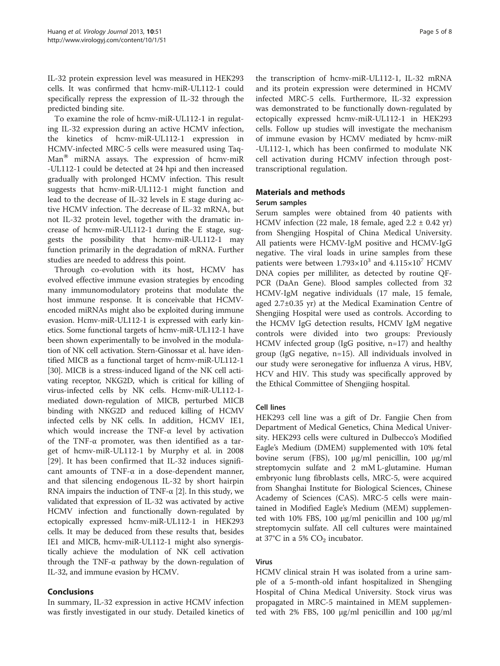IL-32 protein expression level was measured in HEK293 cells. It was confirmed that hcmv-miR-UL112-1 could specifically repress the expression of IL-32 through the predicted binding site.

To examine the role of hcmv-miR-UL112-1 in regulating IL-32 expression during an active HCMV infection, the kinetics of hcmv-miR-UL112-1 expression in HCMV-infected MRC-5 cells were measured using Taq- $Man^{\otimes}$  miRNA assays. The expression of hcmv-miR -UL112-1 could be detected at 24 hpi and then increased gradually with prolonged HCMV infection. This result suggests that hcmv-miR-UL112-1 might function and lead to the decrease of IL-32 levels in E stage during active HCMV infection. The decrease of IL-32 mRNA, but not IL-32 protein level, together with the dramatic increase of hcmv-miR-UL112-1 during the E stage, suggests the possibility that hcmv-miR-UL112-1 may function primarily in the degradation of mRNA. Further studies are needed to address this point.

Through co-evolution with its host, HCMV has evolved effective immune evasion strategies by encoding many immunomodulatory proteins that modulate the host immune response. It is conceivable that HCMVencoded miRNAs might also be exploited during immune evasion. Hcmv-miR-UL112-1 is expressed with early kinetics. Some functional targets of hcmv-miR-UL112-1 have been shown experimentally to be involved in the modulation of NK cell activation. Stern-Ginossar et al. have identified MICB as a functional target of hcmv-miR-UL112-1 [[30](#page-6-0)]. MICB is a stress-induced ligand of the NK cell activating receptor, NKG2D, which is critical for killing of virus-infected cells by NK cells. Hcmv-miR-UL112-1 mediated down-regulation of MICB, perturbed MICB binding with NKG2D and reduced killing of HCMV infected cells by NK cells. In addition, HCMV IE1, which would increase the TNF- $\alpha$  level by activation of the TNF- $\alpha$  promoter, was then identified as a target of hcmv-miR-UL112-1 by Murphy et al. in 2008 [[29\]](#page-6-0). It has been confirmed that IL-32 induces significant amounts of TNF-α in a dose-dependent manner, and that silencing endogenous IL-32 by short hairpin RNA impairs the induction of TNF- $\alpha$  [\[2](#page-6-0)]. In this study, we validated that expression of IL-32 was activated by active HCMV infection and functionally down-regulated by ectopically expressed hcmv-miR-UL112-1 in HEK293 cells. It may be deduced from these results that, besides IE1 and MICB, hcmv-miR-UL112-1 might also synergistically achieve the modulation of NK cell activation through the TNF-α pathway by the down-regulation of IL-32, and immune evasion by HCMV.

#### Conclusions

In summary, IL-32 expression in active HCMV infection was firstly investigated in our study. Detailed kinetics of

the transcription of hcmv-miR-UL112-1, IL-32 mRNA and its protein expression were determined in HCMV infected MRC-5 cells. Furthermore, IL-32 expression was demonstrated to be functionally down-regulated by ectopically expressed hcmv-miR-UL112-1 in HEK293 cells. Follow up studies will investigate the mechanism of immune evasion by HCMV mediated by hcmv-miR -UL112-1, which has been confirmed to modulate NK cell activation during HCMV infection through posttranscriptional regulation.

## Materials and methods

#### Serum samples

Serum samples were obtained from 40 patients with HCMV infection (22 male, 18 female, aged  $2.2 \pm 0.42$  yr) from Shengjing Hospital of China Medical University. All patients were HCMV-IgM positive and HCMV-IgG negative. The viral loads in urine samples from these patients were between  $1.793 \times 10^3$  and  $4.115 \times 10^7$  HCMV DNA copies per milliliter, as detected by routine QF-PCR (DaAn Gene). Blood samples collected from 32 HCMV-IgM negative individuals (17 male, 15 female, aged 2.7±0.35 yr) at the Medical Examination Centre of Shengjing Hospital were used as controls. According to the HCMV IgG detection results, HCMV IgM negative controls were divided into two groups: Previously HCMV infected group (IgG positive, n=17) and healthy group (IgG negative, n=15). All individuals involved in our study were seronegative for influenza A virus, HBV, HCV and HIV. This study was specifically approved by the Ethical Committee of Shengjing hospital.

#### Cell lines

HEK293 cell line was a gift of Dr. Fangjie Chen from Department of Medical Genetics, China Medical University. HEK293 cells were cultured in Dulbecco's Modified Eagle's Medium (DMEM) supplemented with 10% fetal bovine serum (FBS), 100 μg/ml penicillin, 100 μg/ml streptomycin sulfate and 2 mM L-glutamine. Human embryonic lung fibroblasts cells, MRC-5, were acquired from Shanghai Institute for Biological Sciences, Chinese Academy of Sciences (CAS). MRC-5 cells were maintained in Modified Eagle's Medium (MEM) supplemented with 10% FBS, 100 μg/ml penicillin and 100 μg/ml streptomycin sulfate. All cell cultures were maintained at 37°C in a 5%  $CO<sub>2</sub>$  incubator.

#### Virus

HCMV clinical strain H was isolated from a urine sample of a 5-month-old infant hospitalized in Shengjing Hospital of China Medical University. Stock virus was propagated in MRC-5 maintained in MEM supplemented with 2% FBS, 100 μg/ml penicillin and 100 μg/ml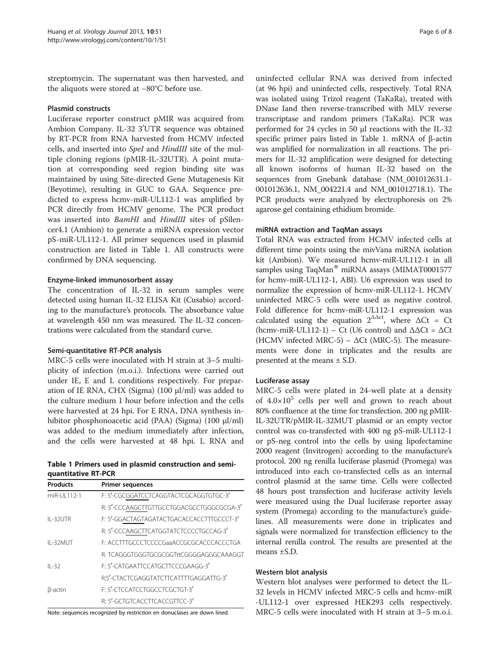streptomycin. The supernatant was then harvested, and the aliquots were stored at −80°C before use.

#### Plasmid constructs

Luciferase reporter construct pMIR was acquired from Ambion Company. IL-32 3'UTR sequence was obtained by RT-PCR from RNA harvested from HCMV infected cells, and inserted into SpeI and HindIII site of the multiple cloning regions (pMIR-IL-32UTR). A point mutation at corresponding seed region binding site was maintained by using Site-directed Gene Mutagenesis Kit (Beyotime), resulting in GUC to GAA. Sequence predicted to express hcmv-miR-UL112-1 was amplified by PCR directly from HCMV genome. The PCR product was inserted into BamHI and HindIII sites of pSilencer4.1 (Ambion) to generate a miRNA expression vector pS-miR-UL112-1. All primer sequences used in plasmid construction are listed in Table 1. All constructs were confirmed by DNA sequencing.

#### Enzyme-linked immunosorbent assay

The concentration of IL-32 in serum samples were detected using human IL-32 ELISA Kit (Cusabio) according to the manufacture's protocols. The absorbance value at wavelength 450 nm was measured. The IL-32 concentrations were calculated from the standard curve.

#### Semi-quantitative RT-PCR analysis

MRC-5 cells were inoculated with H strain at 3–5 multiplicity of infection (m.o.i.). Infections were carried out under IE, E and L conditions respectively. For preparation of IE RNA, CHX (Sigma) (100 μl/ml) was added to the culture medium 1 hour before infection and the cells were harvested at 24 hpi. For E RNA, DNA synthesis inhibitor phosphonoacetic acid (PAA) (Sigma) (100 μl/ml) was added to the medium immediately after infection, and the cells were harvested at 48 hpi. L RNA and

#### Table 1 Primers used in plasmid construction and semiquantitative RT-PCR

| <b>Products</b> | <b>Primer sequences</b>                   |
|-----------------|-------------------------------------------|
| miR-UI 112-1    | F: 5'-CGCGGATCCTCAGGTACTCGCAGGTGTGC-3'    |
|                 | R: 5'-CCCAAGCTTGTTGCCTGGACGCCTGGGCGCGA-3' |
| IL-32UTR        | F: 5'-GGACTAGTAGATACTGACACCACCTTTGCCCT-3' |
|                 | R: 5'-CCCAAGCTTCATGGTATCTCCCCTGCCAG-3'    |
| $II - 32MUT$    | E: ACCTTTGCCCTCCCCGaaACCGCGCACCCACCCTGA   |
|                 | R: TCAGGGTGGGTGCGCGGTttCGGGGAGGGCAAAGGT   |
| $II - 32$       | E: 5'-CATGAATTCCATGCTTCCCGAAGG-3'         |
|                 | R:5'-CTACTCGAGGTATCTTCATTTTGAGGATTG-3'    |
| B-actin         | E: 5'-CTCCATCCTGGCCTCGCTGT-3'             |
|                 | R: 5'-GCTGTCACCTTCACCGTTCC-3'             |

Note: sequences recognized by restriction en donuclases are down lined.

uninfected cellular RNA was derived from infected (at 96 hpi) and uninfected cells, respectively. Total RNA was isolated using Trizol reagent (TaKaRa), treated with DNase Iand then reverse-transcribed with MLV reverse transcriptase and random primers (TaKaRa). PCR was performed for 24 cycles in 50 μl reactions with the IL-32 specific primer pairs listed in Table 1. mRNA of β-actin was amplified for normalization in all reactions. The primers for IL-32 amplification were designed for detecting all known isoforms of human IL-32 based on the sequences from Gnebank database (NM\_001012631.1- 001012636.1, NM\_004221.4 and NM\_001012718.1). The PCR products were analyzed by electrophoresis on 2% agarose gel containing ethidium bromide.

#### miRNA extraction and TaqMan assays

Total RNA was extracted from HCMV infected cells at different time points using the mivVana miRNA isolation kit (Ambion). We measured hcmv-miR-UL112-1 in all samples using TaqMan® miRNA assays (MIMAT0001577 for hcmv-miR-UL112-1, ABI). U6 expression was used to normalize the expression of hcmv-miR-UL112-1. HCMV uninfected MRC-5 cells were used as negative control. Fold difference for hcmv-miR-UL112-1 expression was calculated using the equation  $2^{\Delta \Delta ct}$ , where  $\Delta Ct = Ct$ (hcmv-miR-UL112-1) – Ct (U6 control) and  $\Delta \Delta \text{C}t = \Delta \text{C}t$ (HCMV infected MRC-5) –  $\Delta$ Ct (MRC-5). The measurements were done in triplicates and the results are presented at the means ± S.D.

#### Luciferase assay

MRC-5 cells were plated in 24-well plate at a density of  $4.0\times10^{5}$  cells per well and grown to reach about 80% confluence at the time for transfection. 200 ng pMIR-IL-32UTR/pMIR-IL-32MUT plasmid or an empty vector control was co-transfected with 400 ng pS-miR-UL112-1 or pS-neg control into the cells by using lipofectamine 2000 reagent (Invitrogen) according to the manufacture's protocol. 200 ng renilla luciferase plasmid (Promega) was introduced into each co-transfected cells as an internal control plasmid at the same time. Cells were collected 48 hours post transfection and luciferase activity levels were measured using the Dual luciferase reporter assay system (Promega) according to the manufacture's guidelines. All measurements were done in triplicates and signals were normalized for transfection efficiency to the internal renilla control. The results are presented at the means ±S.D.

#### Western blot analysis

Western blot analyses were performed to detect the IL-32 levels in HCMV infected MRC-5 cells and hcmv-miR -UL112-1 over expressed HEK293 cells respectively. MRC-5 cells were inoculated with H strain at 3–5 m.o.i.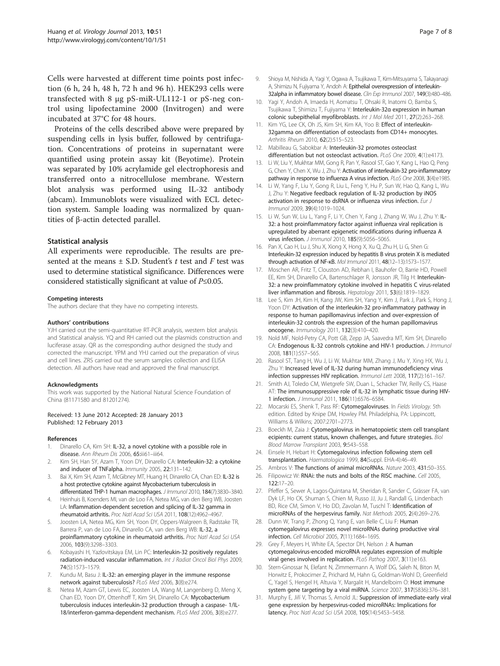<span id="page-6-0"></span>Cells were harvested at different time points post infection (6 h, 24 h, 48 h, 72 h and 96 h). HEK293 cells were transfected with 8 μg pS-miR-UL112-1 or pS-neg control using lipofectamine 2000 (Invitrogen) and were incubated at 37°C for 48 hours.

Proteins of the cells described above were prepared by suspending cells in lysis buffer, followed by centrifugation. Concentrations of proteins in supernatant were quantified using protein assay kit (Beyotime). Protein was separated by 10% acrylamide gel electrophoresis and transferred onto a nitrocellulose membrane. Western blot analysis was performed using IL-32 antibody (abcam). Immunoblots were visualized with ECL detection system. Sample loading was normalized by quantities of β-actin detected parallel.

#### Statistical analysis

All experiments were reproducible. The results are presented at the means  $\pm$  S.D. Student's t test and F test was used to determine statistical significance. Differences were considered statistically significant at value of  $P \leq 0.05$ .

#### Competing interests

The authors declare that they have no competing interests.

#### Authors' contributions

YJH carried out the semi-quantitative RT-PCR analysis, western blot analysis and Statistical analysis. YQ and RH carried out the plasmids construction and luciferase assay. QR as the corresponding author designed the study and corrected the manuscript. YPM and YHJ carried out the preparation of virus and cell lines. ZRS carried out the serum samples collection and ELISA detection. All authors have read and approved the final manuscript.

#### Acknowledgments

This work was supported by the National Natural Science Foundation of China (81171580 and 81201274).

#### Received: 13 June 2012 Accepted: 28 January 2013 Published: 12 February 2013

#### References

- 1. Dinarello CA, Kim SH: IL-32, a novel cytokine with a possible role in disease. Ann Rheum Dis 2006, 65:iii61-iii64.
- 2. Kim SH, Han SY, Azam T, Yoon DY, Dinarello CA: Interleukin-32: a cytokine and inducer of TNFalpha. Immunity 2005, 22:131–142.
- 3. Bai X, Kim SH, Azam T, McGibney MT, Huang H, Dinarello CA, Chan ED: IL-32 is a host protective cytokine against Mycobacterium tuberculosis in differentiated THP-1 human macrophages. J Immunol 2010, 184(7):3830–3840.
- 4. Heinhuis B, Koenders MI, van de Loo FA, Netea MG, van den Berg WB, Joosten LA: Inflammation-dependent secretion and splicing of IL-32 gamma in rheumatoid arthritis. Proc Natl Acad Sci USA 2011, 108(12):4962–4967.
- 5. Joosten LA, Netea MG, Kim SH, Yoon DY, Oppers-Walgreen B, Radstake TR, Barrera P, van de Loo FA, Dinarello CA, van den Berg WB: IL-32, a proinflammatory cytokine in rheumatoid arthritis. Proc Natl Acad Sci USA 2006, 103(9):3298–3303.
- 6. Kobayashi H, Yazlovitskaya EM, Lin PC: Interleukin-32 positively regulates radiation-induced vascular inflammation. Int J Radiat Oncol Biol Phys 2009, 74(5):1573–1579.
- Kundu M, Basu J: IL-32: an emerging player in the immune response network against tuberculosis? PLoS Med 2006, 3(8):e274.
- Netea M, Azam GT, Lewis EC, Joosten LA, Wang M, Langenberg D, Meng X, Chan ED, Yoon DY, Ottenhoff T, Kim SH, Dinarello CA: Mycobacterium tuberculosis induces interleukin-32 production through a caspase- 1/IL-18/interferon-gamma-dependent mechanism. PLoS Med 2006, 3(8):e277.
- 9. Shioya M, Nishida A, Yagi Y, Ogawa A, Tsujikawa T, Kim-Mitsuyama S, Takayanagi A, Shimizu N, Fujiyama Y, Andoh A: Epithelial overexpression of interleukin-32alpha in inflammatory bowel disease. Clin Exp Immunol 2007, 149(3):480-486.
- 10. Yagi Y, Andoh A, Imaeda H, Aomatsu T, Ohsaki R, Inatomi O, Bamba S, Tsujikawa T, Shimizu T, Fujiyama Y: Interleukin-32α expression in human colonic subepithelial myofibroblasts. Int J Mol Med 2011, 27(2):263–268.
- 11. Kim YG, Lee CK, Oh JS, Kim SH, Kim KA, Yoo B: Effect of interleukin-32gamma on differentiation of osteoclasts from CD14+ monocytes. Arthritis Rheum 2010, 62(2):515–523.
- 12. Mabilleau G, Sabokbar A: Interleukin-32 promotes osteoclast differentiation but not osteoclast activation. PLoS One 2009, 4(1):e4173.
- 13. Li W, Liu Y, Mukhtar MM, Gong R, Pan Y, Rasool ST, Gao Y, Kang L, Hao Q, Peng G, Chen Y, Chen X, Wu J, Zhu Y: Activation of interleukin-32 pro-inflammatory pathway in response to influenza A virus infection. PLoS One 2008, 3(4):e1985.
- 14. Li W, Yang F, Liu Y, Gong R, Liu L, Feng Y, Hu P, Sun W, Hao Q, Kang L, Wu J, Zhu Y: Negative feedback regulation of IL-32 production by iNOS activation in response to dsRNA or influenza virus infection. Eur J Immunol 2009, 39(4):1019–1024.
- 15. Li W, Sun W, Liu L, Yang F, Li Y, Chen Y, Fang J, Zhang W, Wu J, Zhu Y: IL-32: a host proinflammatory factor against influenza viral replication is upregulated by aberrant epigenetic modifications during influenza A virus infection. J Immunol 2010, 185(9):5056–5065.
- 16. Pan X, Cao H, Lu J, Shu X, Xiong X, Hong X, Xu Q, Zhu H, Li G, Shen G: Interleukin-32 expression induced by hepatitis B virus protein X is mediated through activation of NF-κB. Mol Immunol 2011, 48(12–13):1573–1577.
- 17. Moschen AR, Fritz T, Clouston AD, Rebhan I, Bauhofer O, Barrie HD, Powell EE, Kim SH, Dinarello CA, Bartenschlager R, Jonsson JR, Tilg H: Interleukin-32: a new proinflammatory cytokine involved in hepatitis C virus-related liver inflammation and fibrosis. Hepatology 2011, 53(6):1819–1829.
- 18. Lee S, Kim JH, Kim H, Kang JW, Kim SH, Yang Y, Kim J, Park J, Park S, Hong J, Yoon DY: Activation of the interleukin-32 pro-inflammatory pathway in response to human papillomavirus infection and over-expression of interleukin-32 controls the expression of the human papillomavirus oncogene. Immunology 2011, 132(3):410–420.
- 19. Nold MF, Nold-Petry CA, Pott GB, Zepp JA, Saavedra MT, Kim SH, Dinarello CA: Endogenous IL-32 controls cytokine and HIV-1 production. J Immunol 2008, 181(1):557–565.
- 20. Rasool ST, Tang H, Wu J, Li W, Mukhtar MM, Zhang J, Mu Y, Xing HX, Wu J, Zhu Y: Increased level of IL-32 during human immunodeficiency virus infection suppresses HIV replication. Immunol Lett 2008, 117(2):161–167.
- 21. Smith AJ, Toledo CM, Wietgrefe SW, Duan L, Schacker TW, Reilly CS, Haase AT: The immunosuppressive role of IL-32 in lymphatic tissue during HIV-1 infection. J Immunol 2011, 186(11):6576–6584.
- 22. Mocarski ES, Shenk T, Pass RF: Cytomegaloviruses. In Fields Virology. 5th edition. Edited by Knipe DM, Howley PM. Philadelphia, PA: Lippincott, Williams & Wilkins; 2007:2701–2773.
- 23. Boeckh M, Zaia J: Cytomegalovirus in hematopoietic stem cell transplant ecipients: current status, known challenges, and future strategies. Biol Blood Marrow Transplant 2003, 9:543–558.
- 24. Einsele H, Hebart H: Cytomegalovirus infection following stem cell transplantation. Haematologica 1999, 84(Suppl. EHA-4):46–49.
- 25. Ambros V: The functions of animal microRNAs. Nature 2003, 431:50–355.
- 26. Filipowicz W: RNAi: the nuts and bolts of the RISC machine. Cell 2005, 122:17–20.
- 27. Pfeffer S, Sewer A, Lagos-Quintana M, Sheridan R, Sander C, Grässer FA, van Dyk LF, Ho CK, Shuman S, Chien M, Russo JJ, Ju J, Randall G, Lindenbach BD, Rice CM, Simon V, Ho DD, Zavolan M, Tuschl T: Identification of microRNAs of the herpesvirus family. Nat Methods 2005, 2(4):269–276.
- 28. Dunn W, Trang P, Zhong Q, Yang E, van Belle C, Liu F: Human cytomegalovirus expresses novel microRNAs during productive viral infection. Cell Microbiol 2005, 7(11):1684–1695.
- 29. Grey F, Meyers H, White EA, Spector DH, Nelson J: A human cytomegalovirus-encoded microRNA regulates expression of multiple viral genes involved in replication. PLoS Pathog 2007, 3(11):e163.
- 30. Stern-Ginossar N, Elefant N, Zimmermann A, Wolf DG, Saleh N, Biton M, Horwitz E, Prokocimer Z, Prichard M, Hahn G, Goldman-Wohl D, Greenfield C, Yagel S, Hengel H, Altuvia Y, Margalit H, Mandelboim O: Host immune system gene targeting by a viral miRNA. Science 2007, 317(5836):376-381.
- 31. Murphy E, Jiří V, Thomas S, Arnold JL: Suppression of immediate-early viral gene expression by herpesvirus-coded microRNAs: Implications for latency. Proc Natl Acad Sci USA 2008, 105(14):5453–5458.